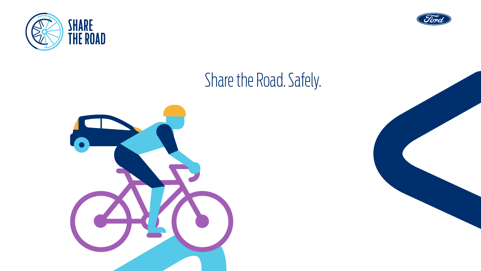



# Share the Road. Safely.



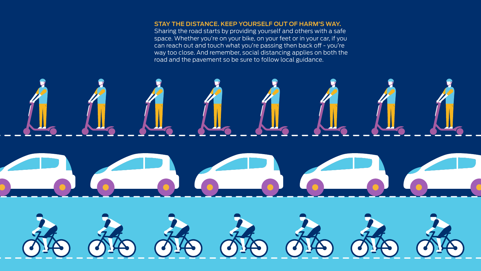# **STAY THE DISTANCE. KEEP YOURSELF OUT OF HARM'S WAY.**

Sharing the road starts by providing yourself and others with a safe space. Whether you're on your bike, on your feet or in your car, if you can reach out and touch what you're passing then back off - you're way too close. And remember, social distancing applies on both the road and the pavement so be sure to follow local guidance.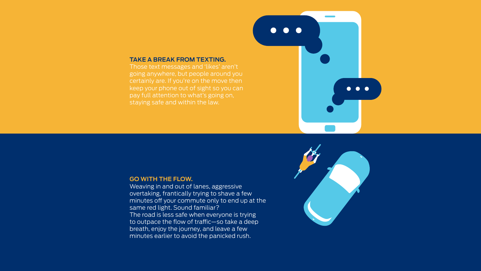#### **TAKE A BREAK FROM TEXTING.**

Those text messages and 'likes' aren't going anywhere, but people around you certainly are. If you're on the move then staying safe and within the law.



#### **GO WITH THE FLOW.**

Weaving in and out of lanes, aggressive overtaking, frantically trying to shave a few minutes off your commute only to end up at the same red light. Sound familiar? The road is less safe when everyone is trying to outpace the flow of traffic—so take a deep breath, enjoy the journey, and leave a few minutes earlier to avoid the panicked rush.

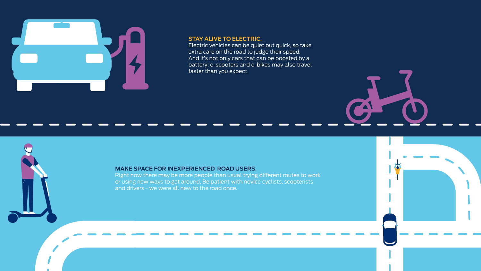

#### **STAY ALIVE TO ELECTRIC.**

Electric vehicles can be quiet but quick, so take extra care on the road to judge their speed. And it's not only cars that can be boosted by a battery: e-scooters and e-bikes may also travel faster than you expect.

**PA** 

#### **MAKE SPACE FOR INEXPERIENCED ROAD USERS.**

Right now there may be more people than usual trying different routes to work or using new ways to get around. Be patient with novice cyclists, scooterists and drivers - we were all new to the road once.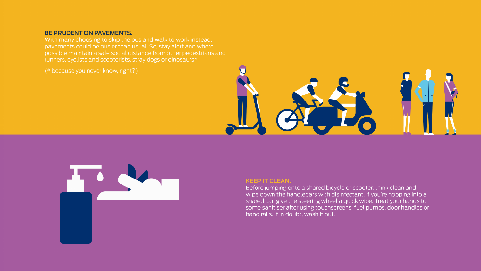# BE PRUDENT ON PAVEMENTS.

With many choosing to skip the bus and walk to work instead. pavements could be busier than usual. So, stay alert and where possible maintain a safe social distance from other pedestrians and runners, cyclists and scooterists, stray dogs or dinosaurs\*.

(\* because you never know, right?)





# **KEEP IT CLEAN.**

Before jumping onto a shared bicycle or scooter, think clean and wipe down the handlebars with disinfectant. If you're hopping into a shared car, give the steering wheel a quick wipe. Treat your hands to some sanitiser after using touchscreens, fuel pumps, door handles or hand rails. If in doubt, wash it out.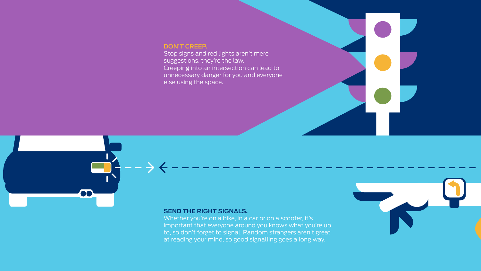## **DON'T CREEP.**

Stop signs and red lights aren't mere suggestions, they're the law. Creeping into an intersection can lead to unnecessary danger for you and everyone else using the space.



#### **SEND THE RIGHT SIGNALS.**

Whether you're on a bike, in a car or on a scooter, it's important that everyone around you knows what you're up to, so don't forget to signal. Random strangers aren't great at reading your mind, so good signalling goes a long way.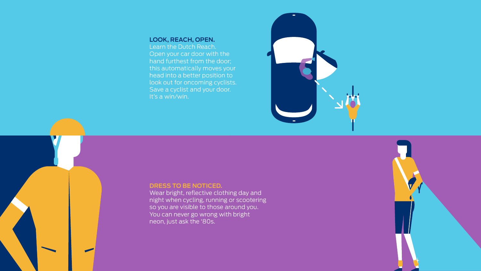## **LOOK, REACH, OPEN.**

Learn the Dutch Reach. Open your car door with the hand furthest from the door; this automatically moves your head into a better position to look out for oncoming cyclists. Save a cyclist and your door. It's a win/win.



#### **DRESS TO BE NOTICED.**

Wear bright, reflective clothing day and night when cycling, running or scootering so you are visible to those around you. You can never go wrong with bright neon, just ask the '80s.